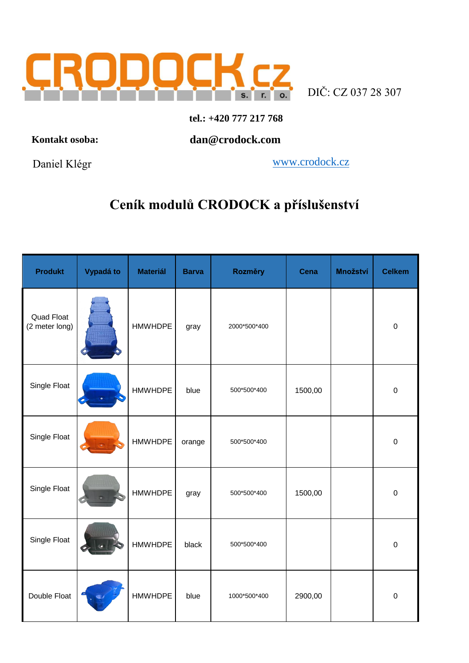

s. r. o. DIČ: CZ 037 28 307

## **tel.: +420 777 217 768**

 **Kontakt osoba:**

 **dan@crodock.com**

Daniel Klégr

www.crodock.cz

## **Ceník modulů CRODOCK a příslušenství**

| <b>Produkt</b>               | Vypadá to | <b>Materiál</b> | <b>Barva</b> | Rozměry      | <b>Cena</b> | Množství | <b>Celkem</b> |
|------------------------------|-----------|-----------------|--------------|--------------|-------------|----------|---------------|
| Quad Float<br>(2 meter long) |           | <b>HMWHDPE</b>  | gray         | 2000*500*400 |             |          | $\mathbf 0$   |
| Single Float                 |           | <b>HMWHDPE</b>  | blue         | 500*500*400  | 1500,00     |          | $\mathbf 0$   |
| Single Float                 |           | <b>HMWHDPE</b>  | orange       | 500*500*400  |             |          | $\mathbf 0$   |
| Single Float                 |           | <b>HMWHDPE</b>  | gray         | 500*500*400  | 1500,00     |          | $\mathbf 0$   |
| Single Float                 |           | <b>HMWHDPE</b>  | black        | 500*500*400  |             |          | $\mathbf 0$   |
| Double Float                 |           | <b>HMWHDPE</b>  | blue         | 1000*500*400 | 2900,00     |          | $\mathbf 0$   |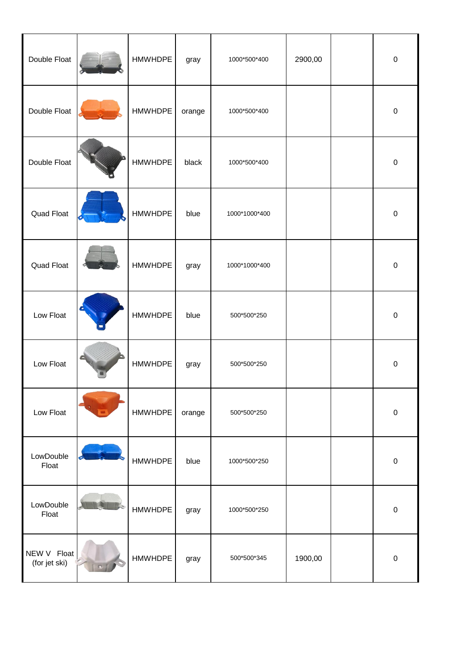| Double Float                 | <b>HMWHDPE</b> | gray   | 1000*500*400  | 2900,00 | $\boldsymbol{0}$ |
|------------------------------|----------------|--------|---------------|---------|------------------|
| Double Float                 | <b>HMWHDPE</b> | orange | 1000*500*400  |         | $\boldsymbol{0}$ |
| Double Float                 | <b>HMWHDPE</b> | black  | 1000*500*400  |         | $\mathbf 0$      |
| Quad Float                   | <b>HMWHDPE</b> | blue   | 1000*1000*400 |         | $\pmb{0}$        |
| Quad Float                   | <b>HMWHDPE</b> | gray   | 1000*1000*400 |         | $\pmb{0}$        |
| Low Float                    | <b>HMWHDPE</b> | blue   | 500*500*250   |         | $\mathbf 0$      |
| Low Float                    | <b>HMWHDPE</b> | gray   | 500*500*250   |         | $\pmb{0}$        |
| Low Float                    | <b>HMWHDPE</b> | orange | 500*500*250   |         | $\pmb{0}$        |
| LowDouble<br>Float           | <b>HMWHDPE</b> | blue   | 1000*500*250  |         | $\pmb{0}$        |
| LowDouble<br>Float           | <b>HMWHDPE</b> | gray   | 1000*500*250  |         | $\mathbf 0$      |
| NEW V Float<br>(for jet ski) | <b>HMWHDPE</b> | gray   | 500*500*345   | 1900,00 | $\pmb{0}$        |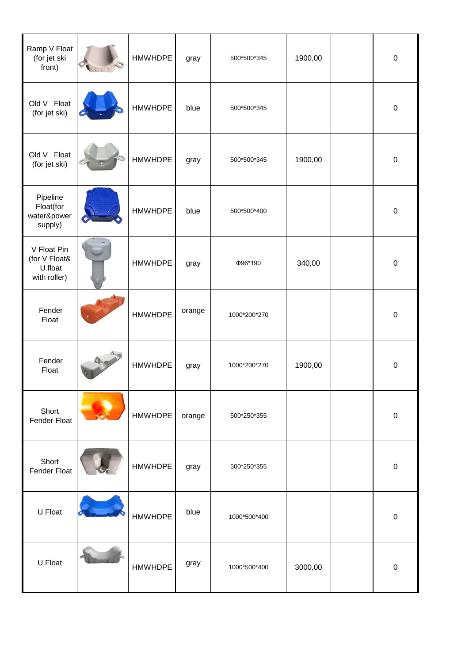| Ramp V Float<br>(for jet ski<br>front)                  | <b>HMWHDPE</b> | gray   | 500*500*345  | 1900,00 | $\mathbf 0$      |
|---------------------------------------------------------|----------------|--------|--------------|---------|------------------|
| Old V Float<br>(for jet ski)                            | <b>HMWHDPE</b> | blue   | 500*500*345  |         | $\mathbf 0$      |
| Old V Float<br>(for jet ski)                            | <b>HMWHDPE</b> | gray   | 500*500*345  | 1900,00 | $\pmb{0}$        |
| Pipeline<br>Float(for<br>water&power<br>supply)         | <b>HMWHDPE</b> | blue   | 500*500*400  |         | $\pmb{0}$        |
| V Float Pin<br>(for V Float&<br>U float<br>with roller) | <b>HMWHDPE</b> | gray   | Ф96*190      | 340,00  | $\pmb{0}$        |
| Fender<br>Float                                         | <b>HMWHDPE</b> | orange | 1000*200*270 |         | $\pmb{0}$        |
| Fender<br>Float                                         | <b>HMWHDPE</b> | gray   | 1000*200*270 | 1900,00 | $\pmb{0}$        |
| Short<br>Fender Float                                   | <b>HMWHDPE</b> | orange | 500*250*355  |         | $\mathbf 0$      |
| Short<br>Fender Float                                   | <b>HMWHDPE</b> | gray   | 500*250*355  |         | $\mathbf 0$      |
| U Float                                                 | <b>HMWHDPE</b> | blue   | 1000*500*400 |         | $\mathbf 0$      |
| U Float                                                 | <b>HMWHDPE</b> | gray   | 1000*500*400 | 3000,00 | $\boldsymbol{0}$ |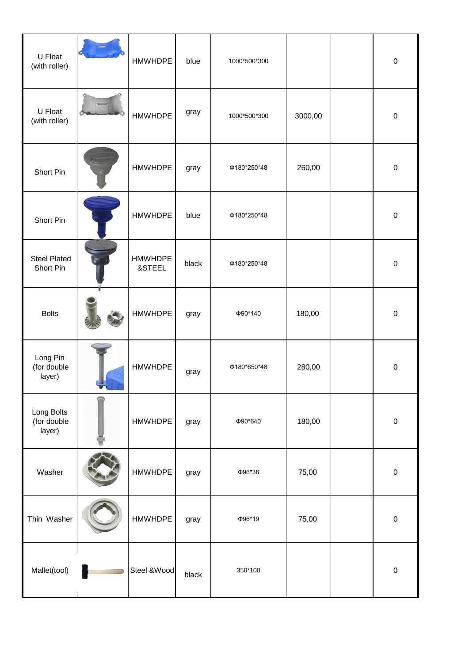| U Float<br>(with roller)            | <b>HMWHDPE</b>           | blue  | 1000*500*300 |         | $\pmb{0}$   |
|-------------------------------------|--------------------------|-------|--------------|---------|-------------|
| U Float<br>(with roller)            | <b>HMWHDPE</b>           | gray  | 1000*500*300 | 3000,00 | $\mathbf 0$ |
| Short Pin                           | <b>HMWHDPE</b>           | gray  | Φ180*250*48  | 260,00  | $\pmb{0}$   |
| Short Pin                           | <b>HMWHDPE</b>           | blue  | Φ180*250*48  |         | $\mathbf 0$ |
| <b>Steel Plated</b><br>Short Pin    | <b>HMWHDPE</b><br>&STEEL | black | Φ180*250*48  |         | $\mathbf 0$ |
| <b>Bolts</b>                        | <b>HMWHDPE</b>           | gray  | Ф90*140      | 180,00  | $\mathbf 0$ |
| Long Pin<br>(for double<br>layer)   | <b>HMWHDPE</b>           | gray  | Φ180*650*48  | 280,00  | $\mathbf 0$ |
| Long Bolts<br>(for double<br>layer) | <b>HMWHDPE</b>           | gray  | Ф90*640      | 180,00  | $\pmb{0}$   |
| Washer                              | <b>HMWHDPE</b>           | gray  | Ф96*38       | 75,00   | $\pmb{0}$   |
| Thin Washer                         | <b>HMWHDPE</b>           | gray  | Ф96*19       | 75,00   | $\pmb{0}$   |
| Mallet(tool)                        | Steel & Wood             | black | 350*100      |         | $\pmb{0}$   |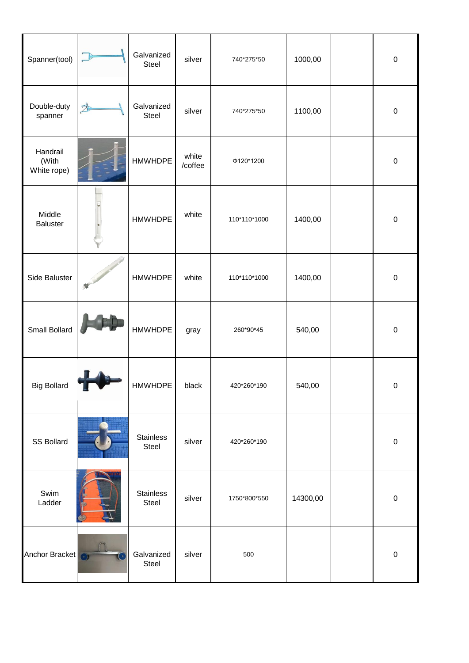| Spanner(tool)                    | Galvanized<br><b>Steel</b> | silver           | 740*275*50   | 1000,00  | $\mathbf 0$ |
|----------------------------------|----------------------------|------------------|--------------|----------|-------------|
| Double-duty<br>spanner           | Galvanized<br>Steel        | silver           | 740*275*50   | 1100,00  | $\mathbf 0$ |
| Handrail<br>(With<br>White rope) | <b>HMWHDPE</b>             | white<br>/coffee | Φ120*1200    |          | $\pmb{0}$   |
| Middle<br><b>Baluster</b>        | <b>HMWHDPE</b>             | white            | 110*110*1000 | 1400,00  | $\pmb{0}$   |
| Side Baluster                    | <b>HMWHDPE</b>             | white            | 110*110*1000 | 1400,00  | $\mathbf 0$ |
| Small Bollard                    | <b>HMWHDPE</b>             | gray             | 260*90*45    | 540,00   | $\mathbf 0$ |
| <b>Big Bollard</b>               | <b>HMWHDPE</b>             | black            | 420*260*190  | 540,00   | $\mathbf 0$ |
| SS Bollard                       | <b>Stainless</b><br>Steel  | silver           | 420*260*190  |          | $\mathbf 0$ |
| Swim<br>Ladder                   | <b>Stainless</b><br>Steel  | silver           | 1750*800*550 | 14300,00 | $\mathbf 0$ |
| Anchor Bracket                   | Galvanized<br>Steel        | silver           | 500          |          | $\mathbf 0$ |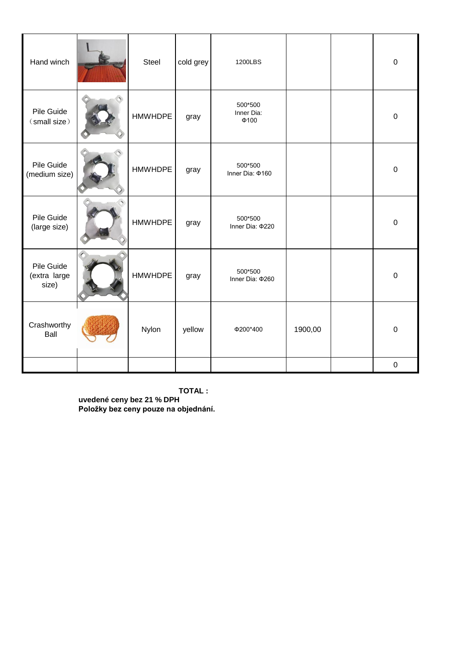| Hand winch                          | <b>Steel</b>   | cold grey | 1200LBS                             |         | $\mathbf 0$ |
|-------------------------------------|----------------|-----------|-------------------------------------|---------|-------------|
| Pile Guide<br>(small size)          | <b>HMWHDPE</b> | gray      | 500*500<br>Inner Dia:<br>$\Phi$ 100 |         | $\pmb{0}$   |
| Pile Guide<br>(medium size)         | <b>HMWHDPE</b> | gray      | 500*500<br>Inner Dia: ¢160          |         | $\mathbf 0$ |
| Pile Guide<br>(large size)          | <b>HMWHDPE</b> | gray      | 500*500<br>Inner Dia: \$220         |         | 0           |
| Pile Guide<br>(extra large<br>size) | <b>HMWHDPE</b> | gray      | 500*500<br>Inner Dia: \$260         |         | $\mathbf 0$ |
| Crashworthy<br>Ball                 | Nylon          | yellow    | Φ200*400                            | 1900,00 | $\mathbf 0$ |
|                                     |                |           |                                     |         | $\pmb{0}$   |

**TOTAL : uvedené ceny bez 21 % DPH Položky bez ceny pouze na objednání.**